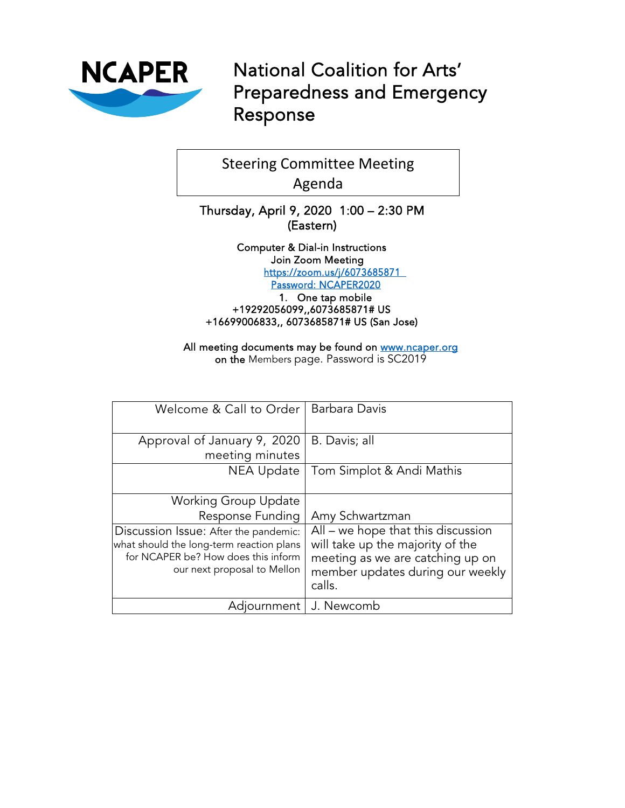

National Coalition for Arts' Preparedness and Emergency Response

Steering Committee Meeting Agenda

Thursday, April 9, 2020 1:00 – 2:30 PM (Eastern)

> Computer & Dial-in Instructions Join Zoom Meeting <https://zoom.us/j/6073685871> Password: NCAPER2020

1. One tap mobile +19292056099,,6073685871# US +16699006833,, 6073685871# US (San Jose)

All meeting documents may be found on www.ncaper.org on the Members page. Password is SC2019

| Welcome & Call to Order                                                                                                                                 | Barbara Davis                                                                                                                                            |
|---------------------------------------------------------------------------------------------------------------------------------------------------------|----------------------------------------------------------------------------------------------------------------------------------------------------------|
| Approval of January 9, 2020<br>meeting minutes                                                                                                          | B. Davis; all                                                                                                                                            |
| NEA Update                                                                                                                                              | Tom Simplot & Andi Mathis                                                                                                                                |
| Working Group Update                                                                                                                                    |                                                                                                                                                          |
| Response Funding                                                                                                                                        | Amy Schwartzman                                                                                                                                          |
| Discussion Issue: After the pandemic:<br>what should the long-term reaction plans<br>for NCAPER be? How does this inform<br>our next proposal to Mellon | All – we hope that this discussion<br>will take up the majority of the<br>meeting as we are catching up on<br>member updates during our weekly<br>calls. |
| Adjournment                                                                                                                                             | J. Newcomb                                                                                                                                               |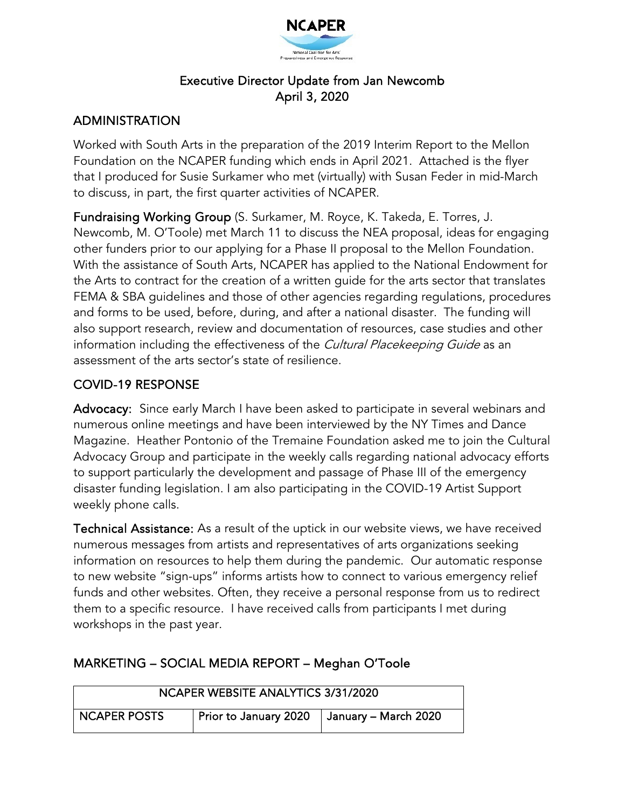

### Executive Director Update from Jan Newcomb April 3, 2020

### ADMINISTRATION

Worked with South Arts in the preparation of the 2019 Interim Report to the Mellon Foundation on the NCAPER funding which ends in April 2021. Attached is the flyer that I produced for Susie Surkamer who met (virtually) with Susan Feder in mid-March to discuss, in part, the first quarter activities of NCAPER.

Fundraising Working Group (S. Surkamer, M. Royce, K. Takeda, E. Torres, J. Newcomb, M. O'Toole) met March 11 to discuss the NEA proposal, ideas for engaging other funders prior to our applying for a Phase II proposal to the Mellon Foundation. With the assistance of South Arts, NCAPER has applied to the National Endowment for the Arts to contract for the creation of a written guide for the arts sector that translates FEMA & SBA guidelines and those of other agencies regarding regulations, procedures and forms to be used, before, during, and after a national disaster. The funding will also support research, review and documentation of resources, case studies and other information including the effectiveness of the Cultural Placekeeping Guide as an assessment of the arts sector's state of resilience.

#### COVID-19 RESPONSE

Advocacy: Since early March I have been asked to participate in several webinars and numerous online meetings and have been interviewed by the NY Times and Dance Magazine. Heather Pontonio of the Tremaine Foundation asked me to join the Cultural Advocacy Group and participate in the weekly calls regarding national advocacy efforts to support particularly the development and passage of Phase III of the emergency disaster funding legislation. I am also participating in the COVID-19 Artist Support weekly phone calls.

Technical Assistance: As a result of the uptick in our website views, we have received numerous messages from artists and representatives of arts organizations seeking information on resources to help them during the pandemic. Our automatic response to new website "sign-ups" informs artists how to connect to various emergency relief funds and other websites. Often, they receive a personal response from us to redirect them to a specific resource. I have received calls from participants I met during workshops in the past year.

| NCAPER WEBSITE ANALYTICS 3/31/2020 |                                              |  |  |  |
|------------------------------------|----------------------------------------------|--|--|--|
| <b>NCAPER POSTS</b>                | Prior to January 2020   January – March 2020 |  |  |  |

### MARKETING – SOCIAL MEDIA REPORT – Meghan O'Toole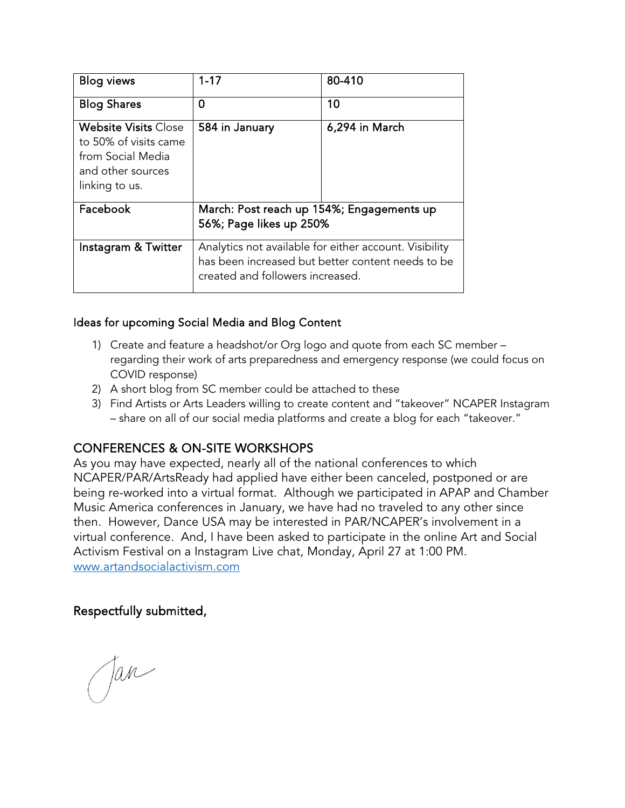| Blog views                                                                                                       | $1 - 17$                                                                                                                                        | 80-410         |
|------------------------------------------------------------------------------------------------------------------|-------------------------------------------------------------------------------------------------------------------------------------------------|----------------|
| <b>Blog Shares</b>                                                                                               | 0                                                                                                                                               | 10             |
| <b>Website Visits Close</b><br>to 50% of visits came<br>from Social Media<br>and other sources<br>linking to us. | 584 in January                                                                                                                                  | 6,294 in March |
| Facebook                                                                                                         | March: Post reach up 154%; Engagements up<br>56%; Page likes up 250%                                                                            |                |
| Instagram & Twitter                                                                                              | Analytics not available for either account. Visibility<br>has been increased but better content needs to be<br>created and followers increased. |                |

#### Ideas for upcoming Social Media and Blog Content

- 1) Create and feature a headshot/or Org logo and quote from each SC member regarding their work of arts preparedness and emergency response (we could focus on COVID response)
- 2) A short blog from SC member could be attached to these
- 3) Find Artists or Arts Leaders willing to create content and "takeover" NCAPER Instagram – share on all of our social media platforms and create a blog for each "takeover."

### CONFERENCES & ON-SITE WORKSHOPS

As you may have expected, nearly all of the national conferences to which NCAPER/PAR/ArtsReady had applied have either been canceled, postponed or are being re-worked into a virtual format. Although we participated in APAP and Chamber Music America conferences in January, we have had no traveled to any other since then. However, Dance USA may be interested in PAR/NCAPER's involvement in a virtual conference. And, I have been asked to participate in the online Art and Social Activism Festival on a Instagram Live chat, Monday, April 27 at 1:00 PM. [www.artandsocialactivism.com](http://www.artandsocialactivism.com/)

#### Respectfully submitted,

Jan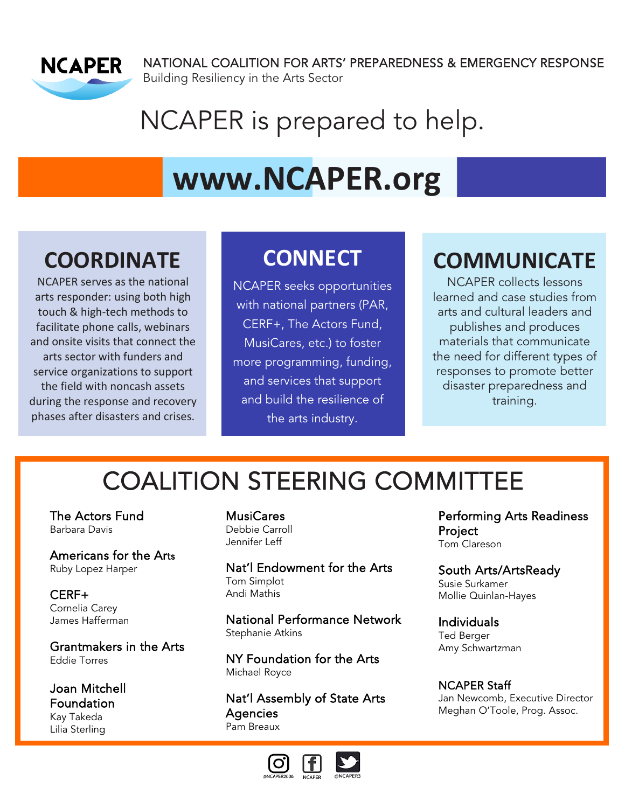

NATIONAL COALITION FOR ARTS' PREPAREDNESS & EMERGENCY RESPONSE Building Resiliency in the Arts Sector

# NCAPER is prepared to help.

# **[www.NCAPER.org](http://www.ncaper.org/)**

# **COORDINATE**

NCAPER serves as the national arts responder: using both high touch & high-tech methods to facilitate phone calls, webinars and onsite visits that connect the arts sector with funders and service organizations to support the field with noncash assets during the response and recovery phases after disasters and crises.

# **CONNECT**

NCAPER seeks opportunities with national partners (PAR, CERF+, The Actors Fund, MusiCares, etc.) to foster more programming, funding, and services that support and build the resilience of the arts industry.

# **COMMUNICATE**

NCAPER collects lessons learned and case studies from arts and cultural leaders and publishes and produces materials that communicate the need for different types of responses to promote better disaster preparedness and training.

# COALITION STEERING COMMITTEE

The Actors Fund Barbara Davis

Americans for the Arts Ruby Lopez Harper

CERF+ Cornelia Carey James Hafferman

Grantmakers in the Arts Eddie Torres

Joan Mitchell **Foundation** Kay Takeda Lilia Sterling

MusiCares Debbie Carroll Jennifer Leff

Nat'l Endowment for the Arts Tom Simplot Andi Mathis

National Performance Network Stephanie Atkins

NY Foundation for the Arts Michael Royce

Nat'l Assembly of State Arts **Agencies** Pam Breaux



Performing Arts Readiness Project Tom Clareson

South Arts/ArtsReady Susie Surkamer Mollie Quinlan-Hayes

Individuals Ted Berger Amy Schwartzman

NCAPER Staff Jan Newcomb, Executive Director Meghan O'Toole, Prog. Assoc.